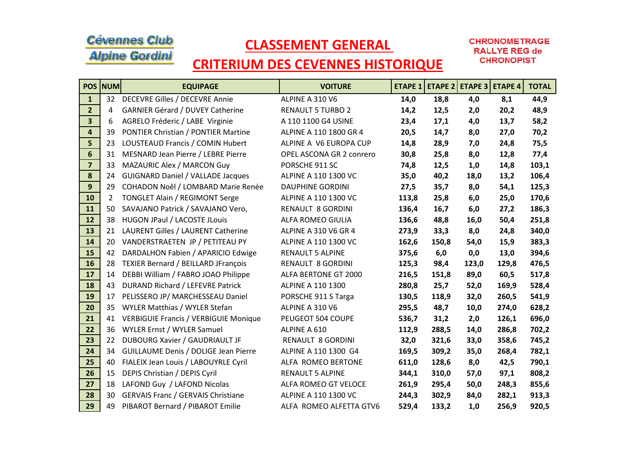## **Cévennes Club Alpine Gordini**

## CLASSEMENT GENERAL

**CHRONOMETRAGE RALLYE REG de CHRONOPIST** 

## CRITERIUM DES CEVENNES HISTORIQUE

|                         | <b>POS NUM</b>        | <b>EQUIPAGE</b>                              | <b>VOITURE</b>              |       |       | ETAPE 1   ETAPE 2   ETAPE 3   ETAPE 4 |       | <b>TOTAL</b> |
|-------------------------|-----------------------|----------------------------------------------|-----------------------------|-------|-------|---------------------------------------|-------|--------------|
| $\mathbf{1}$            | 32                    | DECEVRE Gilles / DECEVRE Annie               | ALPINE A 310 V6             | 14,0  | 18,8  | 4,0                                   | 8,1   | 44,9         |
| 2 <sup>1</sup>          | 4                     | <b>GARNIER Gérard / DUVEY Catherine</b>      | <b>RENAULT 5 TURBO 2</b>    | 14,2  | 12,5  | 2,0                                   | 20,2  | 48,9         |
| $\overline{\mathbf{3}}$ | 6                     | AGRELO Fréderic / LABE Virginie              | A 110 1100 G4 USINE         | 23,4  | 17,1  | 4,0                                   | 13,7  | 58,2         |
| $\overline{\mathbf{4}}$ | 39                    | <b>PONTIER Christian / PONTIER Martine</b>   | ALPINE A 110 1800 GR 4      | 20,5  | 14,7  | 8,0                                   | 27,0  | 70,2         |
| 5                       | 23                    | LOUSTEAUD Francis / COMIN Hubert             | ALPINE A V6 EUROPA CUP      | 14,8  | 28,9  | 7,0                                   | 24,8  | 75,5         |
| $6\overline{6}$         | 31                    | MESNARD Jean Pierre / LEBRE Pierre           | OPEL ASCONA GR 2 conrero    | 30,8  | 25,8  | 8,0                                   | 12,8  | 77,4         |
| $\overline{7}$          | 33                    | MAZAURIC Alex / MARCON Guy                   | PORSCHE 911 SC              | 74,8  | 12,5  | 1,0                                   | 14,8  | 103,1        |
| 8                       | 24                    | <b>GUIGNARD Daniel / VALLADE Jacques</b>     | ALPINE A 110 1300 VC        | 35,0  | 40,2  | 18,0                                  | 13,2  | 106,4        |
| 9                       | 29                    | COHADON Noêl / LOMBARD Marie Renée           | <b>DAUPHINE GORDINI</b>     | 27,5  | 35,7  | 8,0                                   | 54,1  | 125,3        |
| 10                      | $\mathbf{2}^{\prime}$ | <b>TONGLET Alain / REGIMONT Serge</b>        | ALPINE A 110 1300 VC        | 113,8 | 25,8  | 6,0                                   | 25,0  | 170,6        |
| 11                      | 50                    | SAVAJANO Patrick / SAVAJANO Vero,            | <b>RENAULT 8 GORDINI</b>    | 136,4 | 16,7  | 6,0                                   | 27,2  | 186,3        |
| 12                      | 38                    | HUGON JPaul / LACOSTE JLouis                 | <b>ALFA ROMEO GIULIA</b>    | 136,6 | 48,8  | 16,0                                  | 50,4  | 251,8        |
| 13                      | 21                    | LAURENT Gilles / LAURENT Catherine           | <b>ALPINE A 310 V6 GR 4</b> | 273,9 | 33,3  | 8,0                                   | 24,8  | 340,0        |
| ${\bf 14}$              | 20                    | VANDERSTRAETEN JP / PETITEAU PY              | ALPINE A 110 1300 VC        | 162,6 | 150,8 | 54,0                                  | 15,9  | 383,3        |
| 15                      | 42                    | DARDALHON Fabien / APARICIO Edwige           | <b>RENAULT 5 ALPINE</b>     | 375,6 | 6,0   | 0,0                                   | 13,0  | 394,6        |
| 16                      | 28                    | <b>TEXIER Bernard / BEILLARD JFrançois</b>   | <b>RENAULT 8 GORDINI</b>    | 125,3 | 98,4  | 123,0                                 | 129,8 | 476,5        |
| 17                      | 14                    | DEBBI William / FABRO JOAO Philippe          | ALFA BERTONE GT 2000        | 216,5 | 151,8 | 89,0                                  | 60,5  | 517,8        |
| 18                      | 43                    | DURAND Richard / LEFEVRE Patrick             | ALPINE A 110 1300           | 280,8 | 25,7  | 52,0                                  | 169,9 | 528,4        |
| 19                      | 17                    | PELISSERO JP/ MARCHESSEAU Daniel             | PORSCHE 911 S Targa         | 130,5 | 118,9 | 32,0                                  | 260,5 | 541,9        |
| 20                      | 35                    | WYLER Matthias / WYLER Stefan                | ALPINE A 310 V6             | 295,5 | 48,7  | 10,0                                  | 274,0 | 628,2        |
| 21                      | 41                    | <b>VERBIGUIE Francis / VERBIGUIE Monique</b> | PEUGEOT 504 COUPE           | 536,7 | 31,2  | 2,0                                   | 126,1 | 696,0        |
| 22                      | 36                    | <b>WYLER Ernst / WYLER Samuel</b>            | ALPINE A 610                | 112,9 | 288,5 | 14,0                                  | 286,8 | 702,2        |
| 23                      | 22                    | DUBOURG Xavier / GAUDRIAULT JF               | RENAULT 8 GORDINI           | 32,0  | 321,6 | 33,0                                  | 358,6 | 745,2        |
| 24                      | 34                    | <b>GUILLAUME Denis / DOLIGE Jean Pierre</b>  | ALPINE A 110 1300 G4        | 169,5 | 309,2 | 35,0                                  | 268,4 | 782,1        |
| 25                      | 40                    | FIALEIX Jean Louis / LABOUYRLE Cyril         | ALFA ROMEO BERTONE          | 611,0 | 128,6 | 8,0                                   | 42,5  | 790,1        |
| 26                      | 15                    | DEPIS Christian / DEPIS Cyril                | <b>RENAULT 5 ALPINE</b>     | 344,1 | 310,0 | 57,0                                  | 97,1  | 808,2        |
| 27                      | 18                    | LAFOND Guy / LAFOND Nicolas                  | ALFA ROMEO GT VELOCE        | 261,9 | 295,4 | 50,0                                  | 248,3 | 855,6        |
| 28                      | 30                    | <b>GERVAIS Franc / GERVAIS Christiane</b>    | ALPINE A 110 1300 VC        | 244,3 | 302,9 | 84,0                                  | 282,1 | 913,3        |
| 29                      | 49                    | PIBAROT Bernard / PIBAROT Emilie             | ALFA ROMEO ALFETTA GTV6     | 529,4 | 133,2 | 1,0                                   | 256,9 | 920,5        |